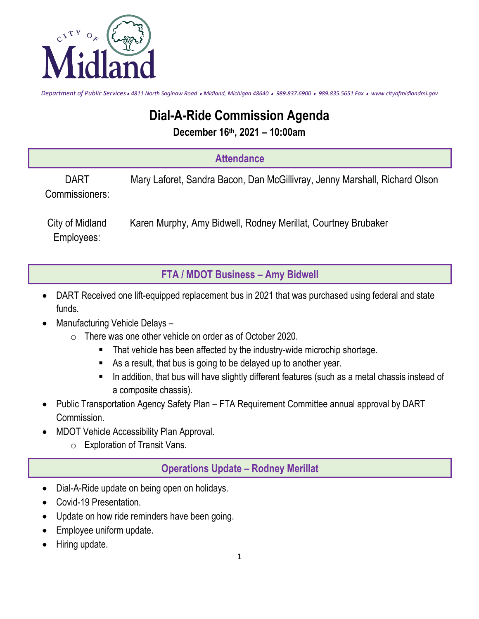

*Department of Public Services 4811 North Saginaw Road Midland, Michigan 48640 989.837.6900 989.835.5651 Fax www.cityofmidlandmi.gov*

## **Dial-A-Ride Commission Agenda**

**December 16th, 2021 – 10:00am** 

## **Attendance**

DART Commissioners: Mary Laforet, Sandra Bacon, Dan McGillivray, Jenny Marshall, Richard Olson

City of Midland Employees: Karen Murphy, Amy Bidwell, Rodney Merillat, Courtney Brubaker

**FTA / MDOT Business – Amy Bidwell**

- DART Received one lift-equipped replacement bus in 2021 that was purchased using federal and state funds.
- Manufacturing Vehicle Delays
	- o There was one other vehicle on order as of October 2020.
		- That vehicle has been affected by the industry-wide microchip shortage.
		- As a result, that bus is going to be delayed up to another year.
		- **In addition, that bus will have slightly different features (such as a metal chassis instead of** a composite chassis).
- Public Transportation Agency Safety Plan FTA Requirement Committee annual approval by DART Commission.
- MDOT Vehicle Accessibility Plan Approval.
	- o Exploration of Transit Vans.

## **Operations Update – Rodney Merillat**

- Dial-A-Ride update on being open on holidays.
- Covid-19 Presentation.
- Update on how ride reminders have been going.
- Employee uniform update.
- Hiring update.